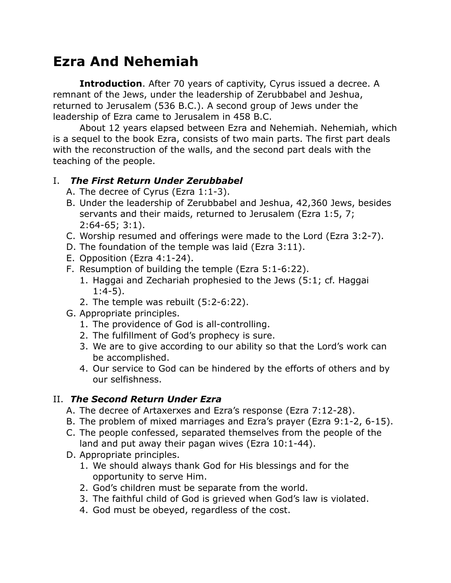# **Ezra And Nehemiah**

**Introduction**. After 70 years of captivity, Cyrus issued a decree. A remnant of the Jews, under the leadership of Zerubbabel and Jeshua, returned to Jerusalem (536 B.C.). A second group of Jews under the leadership of Ezra came to Jerusalem in 458 B.C.

About 12 years elapsed between Ezra and Nehemiah. Nehemiah, which is a sequel to the book Ezra, consists of two main parts. The first part deals with the reconstruction of the walls, and the second part deals with the teaching of the people.

### I. *The First Return Under Zerubbabel*

- A. The decree of Cyrus (Ezra 1:1-3).
- B. Under the leadership of Zerubbabel and Jeshua, 42,360 Jews, besides servants and their maids, returned to Jerusalem (Ezra 1:5, 7; 2:64-65; 3:1).
- C. Worship resumed and offerings were made to the Lord (Ezra 3:2-7).
- D. The foundation of the temple was laid (Ezra 3:11).
- E. Opposition (Ezra 4:1-24).
- F. Resumption of building the temple (Ezra 5:1-6:22).
	- 1. Haggai and Zechariah prophesied to the Jews (5:1; cf. Haggai 1:4-5).
	- 2. The temple was rebuilt (5:2-6:22).
- G. Appropriate principles.
	- 1. The providence of God is all-controlling.
	- 2. The fulfillment of God's prophecy is sure.
	- 3. We are to give according to our ability so that the Lord's work can be accomplished.
	- 4. Our service to God can be hindered by the efforts of others and by our selfishness.

## II. *The Second Return Under Ezra*

- A. The decree of Artaxerxes and Ezra's response (Ezra 7:12-28).
- B. The problem of mixed marriages and Ezra's prayer (Ezra 9:1-2, 6-15).
- C. The people confessed, separated themselves from the people of the land and put away their pagan wives (Ezra 10:1-44).
- D. Appropriate principles.
	- 1. We should always thank God for His blessings and for the opportunity to serve Him.
	- 2. God's children must be separate from the world.
	- 3. The faithful child of God is grieved when God's law is violated.
	- 4. God must be obeyed, regardless of the cost.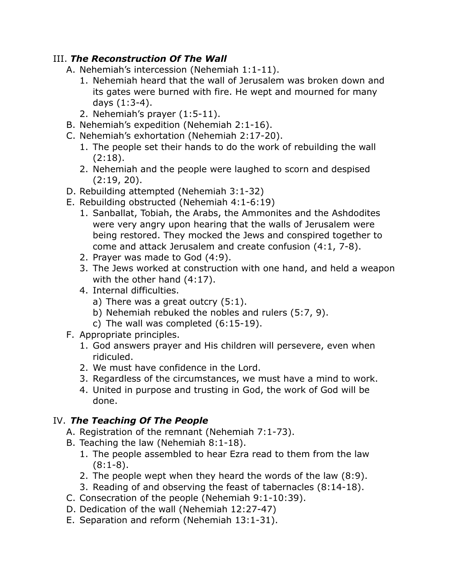### III. *The Reconstruction Of The Wall*

- A. Nehemiah's intercession (Nehemiah 1:1-11).
	- 1. Nehemiah heard that the wall of Jerusalem was broken down and its gates were burned with fire. He wept and mourned for many days (1:3-4).
	- 2. Nehemiah's prayer (1:5-11).
- B. Nehemiah's expedition (Nehemiah 2:1-16).
- C. Nehemiah's exhortation (Nehemiah 2:17-20).
	- 1. The people set their hands to do the work of rebuilding the wall (2:18).
	- 2. Nehemiah and the people were laughed to scorn and despised (2:19, 20).
- D. Rebuilding attempted (Nehemiah 3:1-32)
- E. Rebuilding obstructed (Nehemiah 4:1-6:19)
	- 1. Sanballat, Tobiah, the Arabs, the Ammonites and the Ashdodites were very angry upon hearing that the walls of Jerusalem were being restored. They mocked the Jews and conspired together to come and attack Jerusalem and create confusion (4:1, 7-8).
	- 2. Prayer was made to God (4:9).
	- 3. The Jews worked at construction with one hand, and held a weapon with the other hand (4:17).
	- 4. Internal difficulties.
		- a) There was a great outcry (5:1).
		- b) Nehemiah rebuked the nobles and rulers (5:7, 9).
		- c) The wall was completed (6:15-19).
- F. Appropriate principles.
	- 1. God answers prayer and His children will persevere, even when ridiculed.
	- 2. We must have confidence in the Lord.
	- 3. Regardless of the circumstances, we must have a mind to work.
	- 4. United in purpose and trusting in God, the work of God will be done.

## IV. *The Teaching Of The People*

- A. Registration of the remnant (Nehemiah 7:1-73).
- B. Teaching the law (Nehemiah 8:1-18).
	- 1. The people assembled to hear Ezra read to them from the law  $(8:1-8)$ .
	- 2. The people wept when they heard the words of the law (8:9).
	- 3. Reading of and observing the feast of tabernacles (8:14-18).
- C. Consecration of the people (Nehemiah 9:1-10:39).
- D. Dedication of the wall (Nehemiah 12:27-47)
- E. Separation and reform (Nehemiah 13:1-31).